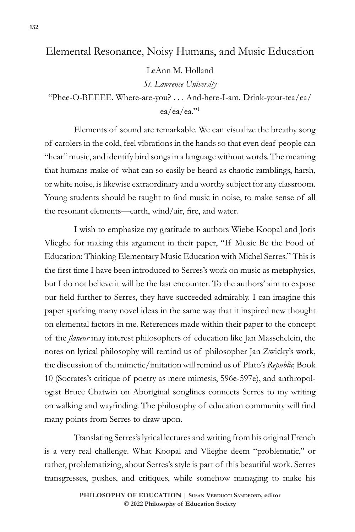## Elemental Resonance, Noisy Humans, and Music Education

LeAnn M. Holland

*St. Lawrence University*

"Phee-O-BEEEE. Where-are-you? . . . And-here-I-am. Drink-your-tea/ea/ ea/ea/ea."1

Elements of sound are remarkable. We can visualize the breathy song of carolers in the cold, feel vibrations in the hands so that even deaf people can "hear" music, and identify bird songs in a language without words. The meaning that humans make of what can so easily be heard as chaotic ramblings, harsh, or white noise, is likewise extraordinary and a worthy subject for any classroom. Young students should be taught to find music in noise, to make sense of all the resonant elements—earth, wind/air, fire, and water.

I wish to emphasize my gratitude to authors Wiebe Koopal and Joris Vlieghe for making this argument in their paper, "If Music Be the Food of Education: Thinking Elementary Music Education with Michel Serres." This is the first time I have been introduced to Serres's work on music as metaphysics, but I do not believe it will be the last encounter. To the authors' aim to expose our field further to Serres, they have succeeded admirably. I can imagine this paper sparking many novel ideas in the same way that it inspired new thought on elemental factors in me. References made within their paper to the concept of the *flaneur* may interest philosophers of education like Jan Masschelein, the notes on lyrical philosophy will remind us of philosopher Jan Zwicky's work, the discussion of the mimetic/imitation will remind us of Plato's *Republic,* Book 10 (Socrates's critique of poetry as mere mimesis, 596e-597e), and anthropologist Bruce Chatwin on Aboriginal songlines connects Serres to my writing on walking and wayfinding. The philosophy of education community will find many points from Serres to draw upon.

Translating Serres's lyrical lectures and writing from his original French is a very real challenge. What Koopal and Vlieghe deem "problematic," or rather, problematizing, about Serres's style is part of this beautiful work. Serres transgresses, pushes, and critiques, while somehow managing to make his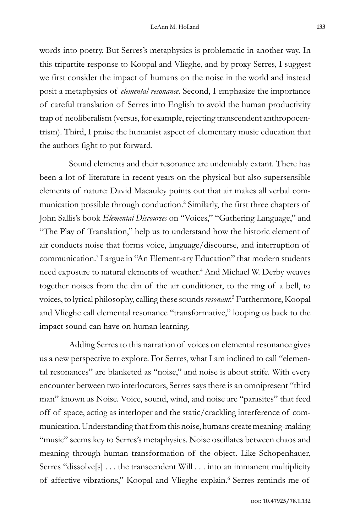words into poetry. But Serres's metaphysics is problematic in another way. In this tripartite response to Koopal and Vlieghe, and by proxy Serres, I suggest we first consider the impact of humans on the noise in the world and instead posit a metaphysics of *elemental resonance*. Second, I emphasize the importance of careful translation of Serres into English to avoid the human productivity trap of neoliberalism (versus, for example, rejecting transcendent anthropocentrism). Third, I praise the humanist aspect of elementary music education that the authors fight to put forward.

Sound elements and their resonance are undeniably extant. There has been a lot of literature in recent years on the physical but also supersensible elements of nature: David Macauley points out that air makes all verbal communication possible through conduction.2 Similarly, the first three chapters of John Sallis's book *Elemental Discourses* on "Voices," "Gathering Language," and "The Play of Translation," help us to understand how the historic element of air conducts noise that forms voice, language/discourse, and interruption of communication.3 I argue in "An Element-ary Education" that modern students need exposure to natural elements of weather.<sup>4</sup> And Michael W. Derby weaves together noises from the din of the air conditioner, to the ring of a bell, to voices, to lyrical philosophy, calling these sounds *resonant.*<sup>5</sup> Furthermore, Koopal and Vlieghe call elemental resonance "transformative," looping us back to the impact sound can have on human learning.

Adding Serres to this narration of voices on elemental resonance gives us a new perspective to explore. For Serres, what I am inclined to call "elemental resonances" are blanketed as "noise," and noise is about strife. With every encounter between two interlocutors, Serres says there is an omnipresent "third man" known as Noise. Voice, sound, wind, and noise are "parasites" that feed off of space, acting as interloper and the static/crackling interference of communication. Understanding that from this noise, humans create meaning-making "music" seems key to Serres's metaphysics. Noise oscillates between chaos and meaning through human transformation of the object. Like Schopenhauer, Serres "dissolve[s] . . . the transcendent Will . . . into an immanent multiplicity of affective vibrations," Koopal and Vlieghe explain.<sup>6</sup> Serres reminds me of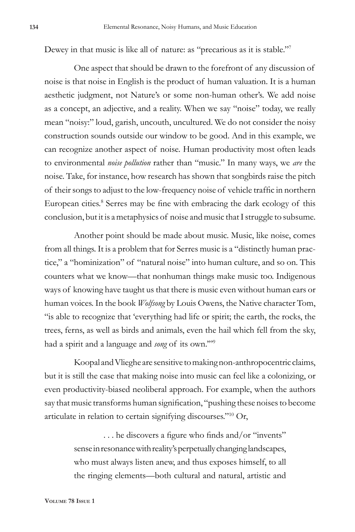Dewey in that music is like all of nature: as "precarious as it is stable."<sup>7</sup>

One aspect that should be drawn to the forefront of any discussion of noise is that noise in English is the product of human valuation. It is a human aesthetic judgment, not Nature's or some non-human other's. We add noise as a concept, an adjective, and a reality. When we say "noise" today, we really mean "noisy:" loud, garish, uncouth, uncultured. We do not consider the noisy construction sounds outside our window to be good. And in this example, we can recognize another aspect of noise. Human productivity most often leads to environmental *noise pollution* rather than "music." In many ways, we *are* the noise. Take, for instance, how research has shown that songbirds raise the pitch of their songs to adjust to the low-frequency noise of vehicle traffic in northern European cities.<sup>8</sup> Serres may be fine with embracing the dark ecology of this conclusion, but it is a metaphysics of noise and music that I struggle to subsume.

Another point should be made about music. Music, like noise, comes from all things. It is a problem that for Serres music is a "distinctly human practice," a "hominization" of "natural noise" into human culture, and so on. This counters what we know—that nonhuman things make music too. Indigenous ways of knowing have taught us that there is music even without human ears or human voices. In the book *Wolfsong* by Louis Owens, the Native character Tom, "is able to recognize that 'everything had life or spirit; the earth, the rocks, the trees, ferns, as well as birds and animals, even the hail which fell from the sky, had a spirit and a language and *song* of its own.'"9

Koopal and Vlieghe are sensitive to making non-anthropocentric claims, but it is still the case that making noise into music can feel like a colonizing, or even productivity-biased neoliberal approach. For example, when the authors say that music transforms human signification, "pushing these noises to become articulate in relation to certain signifying discourses."10 Or,

> . . . he discovers a figure who finds and/or "invents" sense in resonance with reality's perpetually changing landscapes, who must always listen anew, and thus exposes himself, to all the ringing elements—both cultural and natural, artistic and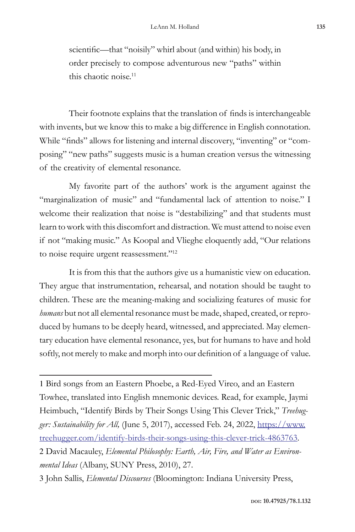scientific—that "noisily" whirl about (and within) his body, in order precisely to compose adventurous new "paths" within this chaotic noise.11

Their footnote explains that the translation of finds is interchangeable with invents, but we know this to make a big difference in English connotation. While "finds" allows for listening and internal discovery, "inventing" or "composing" "new paths" suggests music is a human creation versus the witnessing of the creativity of elemental resonance.

My favorite part of the authors' work is the argument against the "marginalization of music" and "fundamental lack of attention to noise." I welcome their realization that noise is "destabilizing" and that students must learn to work with this discomfort and distraction. We must attend to noise even if not "making music." As Koopal and Vlieghe eloquently add, "Our relations to noise require urgent reassessment."<sup>12</sup>

It is from this that the authors give us a humanistic view on education. They argue that instrumentation, rehearsal, and notation should be taught to children. These are the meaning-making and socializing features of music for *humans* but not all elemental resonance must be made, shaped, created, or reproduced by humans to be deeply heard, witnessed, and appreciated. May elementary education have elemental resonance, yes, but for humans to have and hold softly, not merely to make and morph into our definition of a language of value.

1 Bird songs from an Eastern Phoebe, a Red-Eyed Vireo, and an Eastern Towhee, translated into English mnemonic devices. Read, for example, Jaymi Heimbuch, "Identify Birds by Their Songs Using This Clever Trick," *Treehug*ger: Sustainability for All, (June 5, 2017), accessed Feb. 24, 2022, https://www. treehugger.com/identify-birds-their-songs-using-this-clever-trick-4863763. 2 David Macauley, *Elemental Philosophy: Earth, Air, Fire, and Water as Environ-*

*mental Ideas* (Albany, SUNY Press, 2010), 27.

<sup>3</sup> John Sallis, *Elemental Discourses* (Bloomington: Indiana University Press,